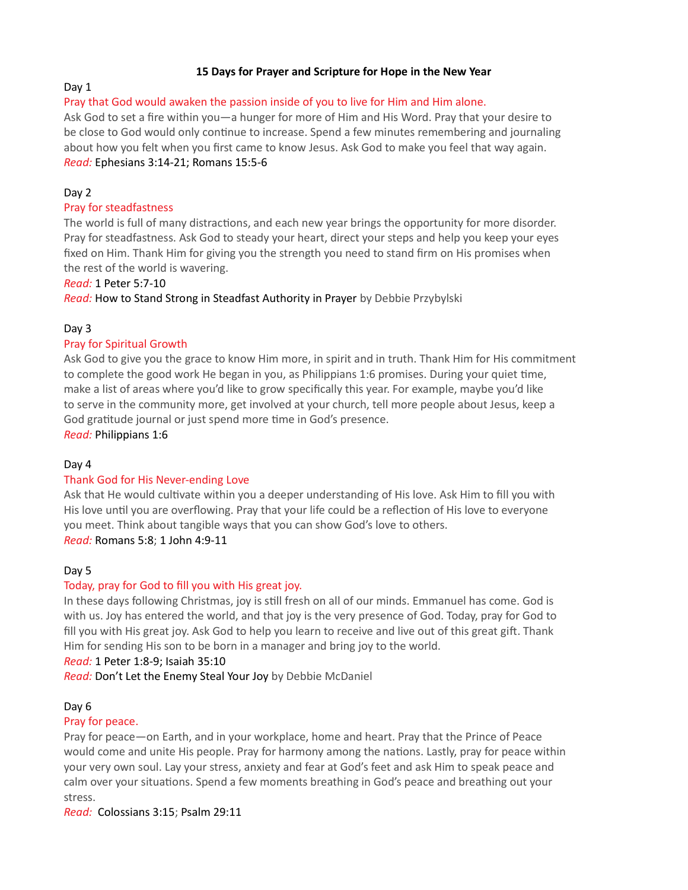### 15 Days for Prayer and Scripture for Hope in the New Year

# Day 1

### Pray that God would awaken the passion inside of you to live for Him and Him alone.

Ask God to set a fire within you—a hunger for more of Him and His Word. Pray that your desire to be close to God would only continue to increase. Spend a few minutes remembering and journaling about how you felt when you first came to know Jesus. Ask God to make you feel that way again. Read: Ephesians 3:14-21; Romans 15:5-6

## Day 2

### Pray for steadfastness

The world is full of many distractions, and each new year brings the opportunity for more disorder. Pray for steadfastness. Ask God to steady your heart, direct your steps and help you keep your eyes fixed on Him. Thank Him for giving you the strength you need to stand firm on His promises when the rest of the world is wavering.

### Read: 1 Peter 5:7-10

Read: How to Stand Strong in Steadfast Authority in Prayer by Debbie Przybylski

### Day 3

### Pray for Spiritual Growth

Ask God to give you the grace to know Him more, in spirit and in truth. Thank Him for His commitment to complete the good work He began in you, as Philippians 1:6 promises. During your quiet time, make a list of areas where you'd like to grow specifically this year. For example, maybe you'd like to serve in the community more, get involved at your church, tell more people about Jesus, keep a God gratitude journal or just spend more time in God's presence.

Read: Philippians 1:6

### Day 4

### Thank God for His Never-ending Love

Ask that He would cultivate within you a deeper understanding of His love. Ask Him to fill you with His love until you are overflowing. Pray that your life could be a reflection of His love to everyone you meet. Think about tangible ways that you can show God's love to others. Read: Romans 5:8; 1 John 4:9-11

### Day 5

### Today, pray for God to fill you with His great joy.

In these days following Christmas, joy is still fresh on all of our minds. Emmanuel has come. God is with us. Joy has entered the world, and that joy is the very presence of God. Today, pray for God to fill you with His great joy. Ask God to help you learn to receive and live out of this great gift. Thank Him for sending His son to be born in a manager and bring joy to the world.

Read: 1 Peter 1:8-9; Isaiah 35:10

Read: Don't Let the Enemy Steal Your Joy by Debbie McDaniel

### Day 6

#### Pray for peace.

Pray for peace—on Earth, and in your workplace, home and heart. Pray that the Prince of Peace would come and unite His people. Pray for harmony among the nations. Lastly, pray for peace within your very own soul. Lay your stress, anxiety and fear at God's feet and ask Him to speak peace and calm over your situations. Spend a few moments breathing in God's peace and breathing out your stress.

Read: Colossians 3:15; Psalm 29:11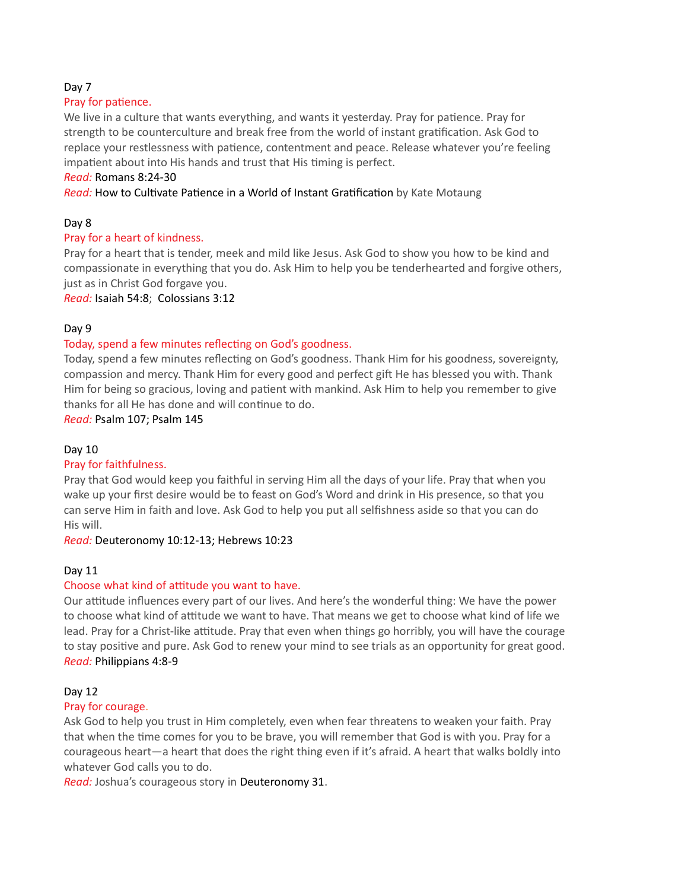### Day 7

### Pray for patience.

We live in a culture that wants everything, and wants it yesterday. Pray for patience. Pray for strength to be counterculture and break free from the world of instant gratification. Ask God to replace your restlessness with patience, contentment and peace. Release whatever you're feeling impatient about into His hands and trust that His timing is perfect.

### Read: Romans 8:24-30

Read: How to Cultivate Patience in a World of Instant Gratification by Kate Motaung

# Day 8

## Pray for a heart of kindness.

Pray for a heart that is tender, meek and mild like Jesus. Ask God to show you how to be kind and compassionate in everything that you do. Ask Him to help you be tenderhearted and forgive others, just as in Christ God forgave you.

Read: Isaiah 54:8; Colossians 3:12

## Day 9

## Today, spend a few minutes reflecting on God's goodness.

Today, spend a few minutes reflecting on God's goodness. Thank Him for his goodness, sovereignty, compassion and mercy. Thank Him for every good and perfect gift He has blessed you with. Thank Him for being so gracious, loving and patient with mankind. Ask Him to help you remember to give thanks for all He has done and will continue to do.

### Read: Psalm 107; Psalm 145

# Day 10

### Pray for faithfulness.

Pray that God would keep you faithful in serving Him all the days of your life. Pray that when you wake up your first desire would be to feast on God's Word and drink in His presence, so that you can serve Him in faith and love. Ask God to help you put all selfishness aside so that you can do His will.

### Read: Deuteronomy 10:12-13; Hebrews 10:23

### Day 11

# Choose what kind of attitude you want to have.

Our attitude influences every part of our lives. And here's the wonderful thing: We have the power to choose what kind of attitude we want to have. That means we get to choose what kind of life we lead. Pray for a Christ-like attitude. Pray that even when things go horribly, you will have the courage to stay positive and pure. Ask God to renew your mind to see trials as an opportunity for great good. Read: Philippians 4:8-9

### Day 12

### Pray for courage.

Ask God to help you trust in Him completely, even when fear threatens to weaken your faith. Pray that when the time comes for you to be brave, you will remember that God is with you. Pray for a courageous heart—a heart that does the right thing even if it's afraid. A heart that walks boldly into whatever God calls you to do.

Read: Joshua's courageous story in Deuteronomy 31.